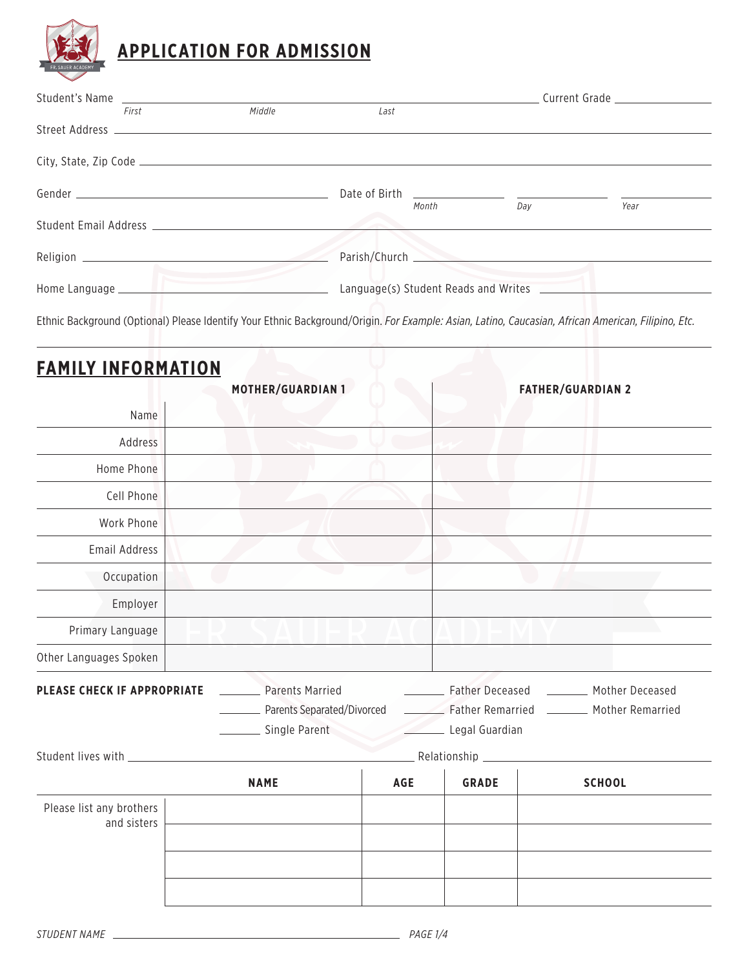

| Student's Name |                                             |        | Current Grade |                                      |                                                |      |
|----------------|---------------------------------------------|--------|---------------|--------------------------------------|------------------------------------------------|------|
|                | First                                       | Middle | Last          |                                      |                                                |      |
|                |                                             |        |               |                                      |                                                |      |
|                |                                             |        |               |                                      |                                                |      |
|                |                                             |        | Date of Birth | Month                                | <u> 1980 - Jan James James, maria a</u><br>Day | Year |
|                | Student Email Address Student Email Address |        |               |                                      |                                                |      |
|                |                                             |        | Parish/Church |                                      |                                                |      |
|                |                                             |        |               | Language(s) Student Reads and Writes |                                                |      |
|                |                                             |        |               |                                      |                                                |      |

Ethnic Background (Optional) Please Identify Your Ethnic Background/Origin. *For Example: Asian, Latino, Caucasian, African American, Filipino, Etc.*

| <b>FAMILY INFORMATION</b>               |                                                        |            |                  |                                                                |
|-----------------------------------------|--------------------------------------------------------|------------|------------------|----------------------------------------------------------------|
|                                         | <b>MOTHER/GUARDIAN 1</b>                               |            |                  | <b>FATHER/GUARDIAN 2</b>                                       |
| Name                                    |                                                        |            |                  |                                                                |
| Address                                 |                                                        |            |                  |                                                                |
| Home Phone                              |                                                        |            |                  |                                                                |
| Cell Phone                              |                                                        |            |                  |                                                                |
| Work Phone                              |                                                        |            |                  |                                                                |
| <b>Email Address</b>                    |                                                        |            |                  |                                                                |
| Occupation                              |                                                        |            |                  |                                                                |
| Employer                                |                                                        |            |                  |                                                                |
| Primary Language                        |                                                        |            |                  |                                                                |
| Other Languages Spoken                  |                                                        |            |                  |                                                                |
| PLEASE CHECK IF APPROPRIATE             | <b>Parents Married</b><br>_ Parents Separated/Divorced |            | Father Deceased  | Mother Deceased<br>Father Remarried _________ Mother Remarried |
|                                         | _ Single Parent                                        |            | _ Legal Guardian |                                                                |
| Student lives with                      |                                                        |            | Relationship     |                                                                |
|                                         | <b>NAME</b>                                            | <b>AGE</b> | <b>GRADE</b>     | <b>SCHOOL</b>                                                  |
| Please list any brothers<br>and sisters |                                                        |            |                  |                                                                |
|                                         |                                                        |            |                  |                                                                |
|                                         |                                                        |            |                  |                                                                |
|                                         |                                                        |            |                  |                                                                |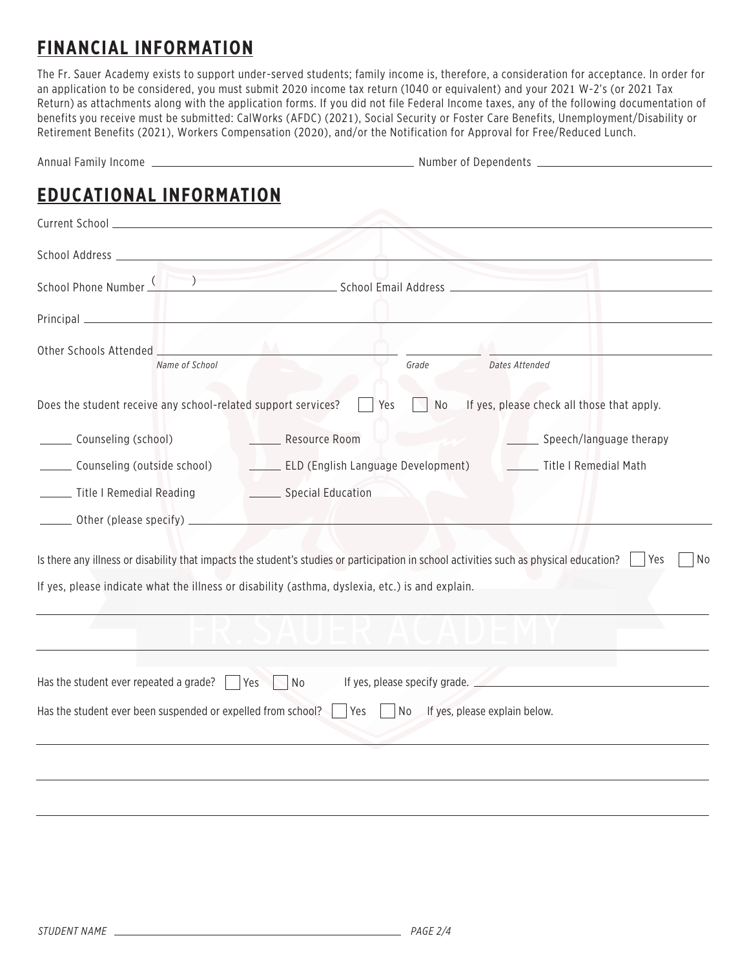# **FINANCIAL INFORMATION**

The Fr. Sauer Academy exists to support under-served students; family income is, therefore, a consideration for acceptance. In order for an application to be considered, you must submit 2020 income tax return (1040 or equivalent) and your 2021 W-2's (or 2021 Tax Return) as attachments along with the application forms. If you did not file Federal Income taxes, any of the following documentation of benefits you receive must be submitted: CalWorks (AFDC) (2021), Social Security or Foster Care Benefits, Unemployment/Disability or Retirement Benefits (2021), Workers Compensation (2020), and/or the Notification for Approval for Free/Reduced Lunch.

| <b>EDUCATIONAL INFORMATION</b>                                                                                                                                                                                                       |                                                                                                                                                                                                                                |                                            |
|--------------------------------------------------------------------------------------------------------------------------------------------------------------------------------------------------------------------------------------|--------------------------------------------------------------------------------------------------------------------------------------------------------------------------------------------------------------------------------|--------------------------------------------|
|                                                                                                                                                                                                                                      |                                                                                                                                                                                                                                |                                            |
|                                                                                                                                                                                                                                      |                                                                                                                                                                                                                                |                                            |
|                                                                                                                                                                                                                                      | School Phone Number (California) School Email Address (California) School Email Address (California) School Email Address (California) School Email Address (California) School Email Address (California) School Email Addres |                                            |
| Principal <u>Secretary Communications</u>                                                                                                                                                                                            |                                                                                                                                                                                                                                |                                            |
| Name of School                                                                                                                                                                                                                       | Grade                                                                                                                                                                                                                          | Dates Attended                             |
| Does the student receive any school-related support services?                                                                                                                                                                        | Yes<br><b>No</b>                                                                                                                                                                                                               | If yes, please check all those that apply. |
| Counseling (school)                                                                                                                                                                                                                  | Resource Room                                                                                                                                                                                                                  | Speech/language therapy                    |
| Counseling (outside school)                                                                                                                                                                                                          | <b>ELD (English Language Development)</b>                                                                                                                                                                                      | Title I Remedial Math                      |
| Title I Remedial Reading <b>Constanting Constanting Constanting Constanting Constanting Constanting Constanting Co</b>                                                                                                               |                                                                                                                                                                                                                                |                                            |
| Other (please specify) <b>with the contract of the contract of the contract of the contract of the contract of the contract of the contract of the contract of the contract of the contract of the contract of the contract of t</b> |                                                                                                                                                                                                                                |                                            |
|                                                                                                                                                                                                                                      | Is there any illness or disability that impacts the student's studies or participation in school activities such as physical education?                                                                                        | Yes<br>No                                  |
|                                                                                                                                                                                                                                      | If yes, please indicate what the illness or disability (asthma, dyslexia, etc.) is and explain.                                                                                                                                |                                            |
|                                                                                                                                                                                                                                      |                                                                                                                                                                                                                                |                                            |
| Has the student ever repeated a grade?                                                                                                                                                                                               | Yes<br>No                                                                                                                                                                                                                      | If yes, please specify grade.              |
| Has the student ever been suspended or expelled from school?                                                                                                                                                                         | Yes<br>No<br>If yes, please explain below.                                                                                                                                                                                     |                                            |
|                                                                                                                                                                                                                                      |                                                                                                                                                                                                                                |                                            |
|                                                                                                                                                                                                                                      |                                                                                                                                                                                                                                |                                            |
|                                                                                                                                                                                                                                      |                                                                                                                                                                                                                                |                                            |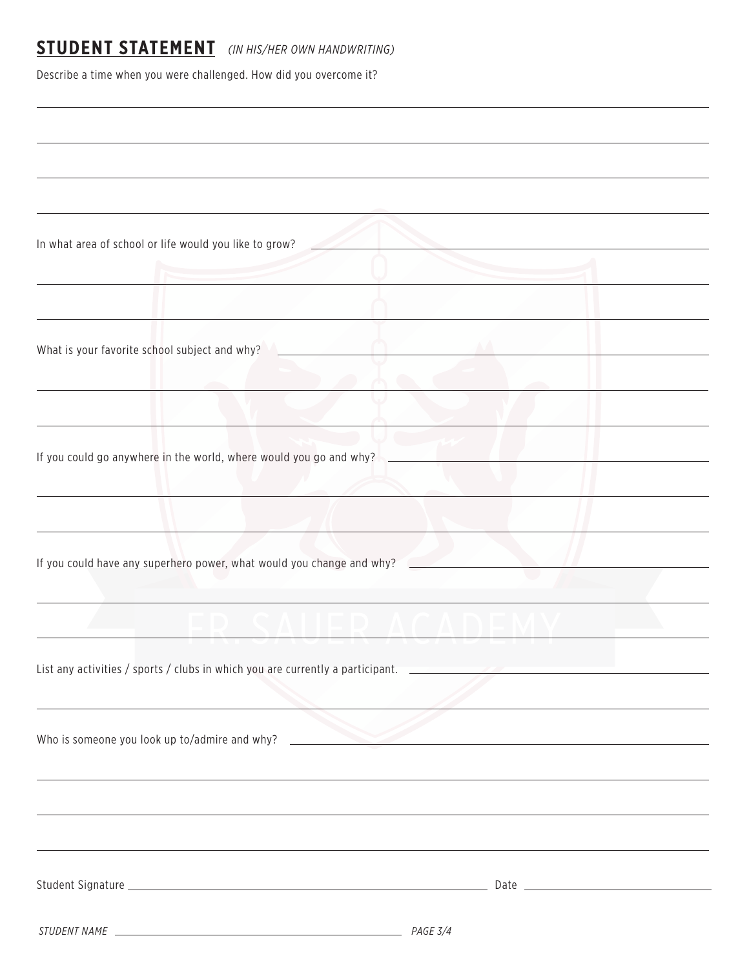### **STUDENT STATEMENT** *(IN HIS/HER OWN HANDWRITING)*

Describe a time when you were challenged. How did you overcome it?

| In what area of school or life would you like to grow?                         |  |
|--------------------------------------------------------------------------------|--|
|                                                                                |  |
|                                                                                |  |
|                                                                                |  |
| What is your favorite school subject and why?                                  |  |
|                                                                                |  |
|                                                                                |  |
|                                                                                |  |
|                                                                                |  |
| If you could go anywhere in the world, where would you go and why?             |  |
|                                                                                |  |
|                                                                                |  |
|                                                                                |  |
| If you could have any superhero power, what would you change and why?          |  |
|                                                                                |  |
|                                                                                |  |
|                                                                                |  |
| List any activities / sports / clubs in which you are currently a participant. |  |
|                                                                                |  |
|                                                                                |  |
| Who is someone you look up to/admire and why?                                  |  |
|                                                                                |  |
|                                                                                |  |
|                                                                                |  |
|                                                                                |  |
|                                                                                |  |
|                                                                                |  |
|                                                                                |  |
|                                                                                |  |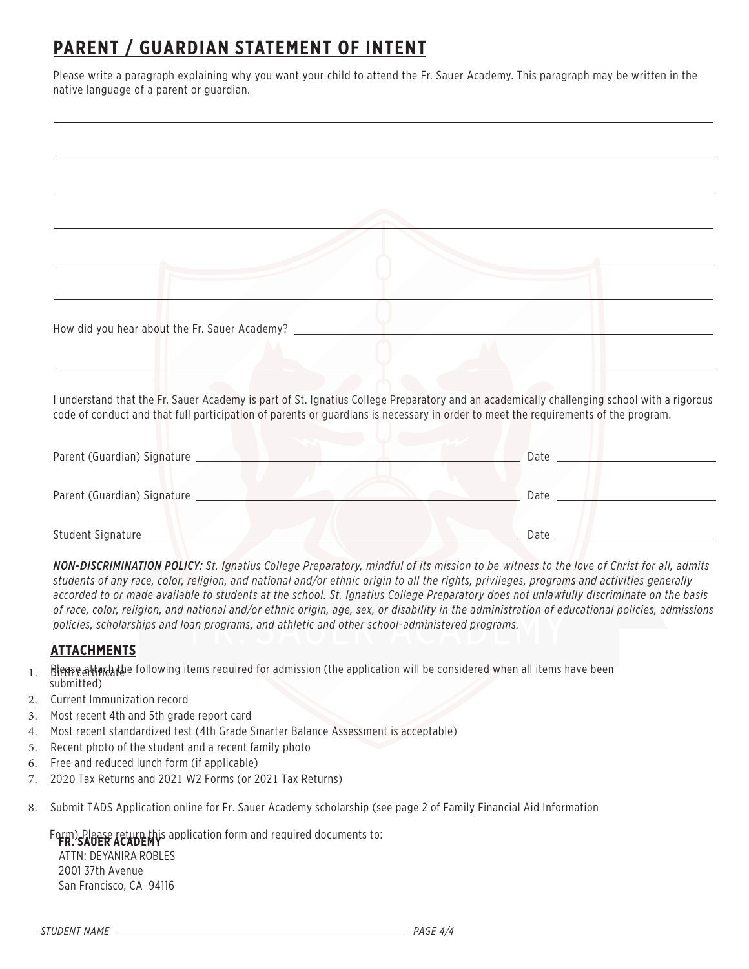# **PARENT / GUARDIAN STATEMENT OF INTENT**

Please write a paragraph explaining why you want your child to attend the Fr. Sauer Academy. This paragraph may be written in the native language of a parent or guardian.

| How did you hear about the Fr. Sauer Academy? ____________ |  |  |  |
|------------------------------------------------------------|--|--|--|
|                                                            |  |  |  |
|                                                            |  |  |  |

I understand that the Fr. Sauer Academy is part of St. Ignatius College Preparatory and an academically challenging school with a rigorous code of conduct and that full participation of parents or guardians is necessary in order to meet the requirements of the program.

| Parent (Guardian) Signature | Date |
|-----------------------------|------|
| Parent (Guardian) Signature | Date |
| Student Signature           | Date |

*NON-DISCRIMINATION POLICY: St. Ignatius College Preparatory, mindful of its mission to be witness to the love of Christ for all, admits students of any race, color, religion, and national and/or ethnic origin to all the rights, privileges, programs and activities generally accorded to or made available to students at the school. St. Ignatius College Preparatory does not unlawfully discriminate on the basis of race, color, religion, and national and/or ethnic origin, age, sex, or disability in the administration of educational policies, admissions policies, scholarships and loan programs, and athletic and other school-administered programs.*

#### **ATTACHMENTS**

- 1. B Bleasea牯nchthe following items required for admission (the application will be considered when all items have been submitted)
- 2. Current Immunization record
- 3. Most recent 4th and 5th grade report card
- 4. Most recent standardized test (4th Grade Smarter Balance Assessment is acceptable)
- 5. Recent photo of the student and a recent family photo
- 6. Free and reduced lunch form (if applicable)
- 7. 2020 Tax Returns and 2021 W2 Forms (or 2021 Tax Returns)
- 8. Submit TADS Application online for Fr. Sauer Academy scholarship (see page 2 of Family Financial Aid Information

Form) Please return this application form and required documents to:

ATTN: DEYANIRA ROBLES 2001 37th Avenue San Francisco, CA 94116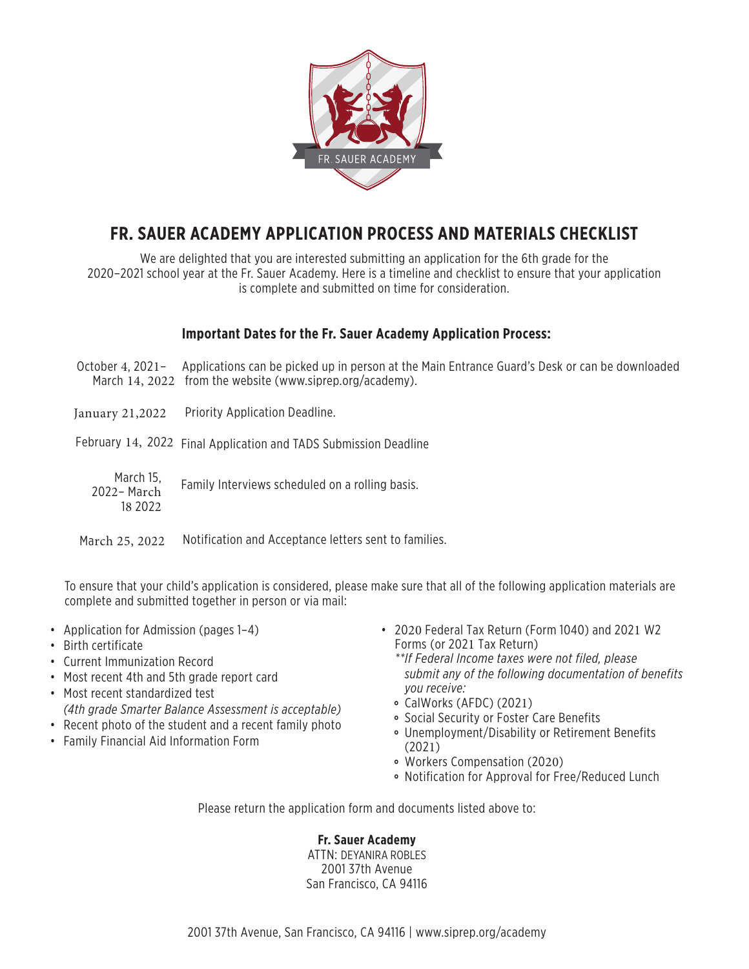

### **FR. SAUER ACADEMY APPLICATION PROCESS AND MATERIALS CHECKLIST**

We are delighted that you are interested submitting an application for the 6th grade for the 2020–2021 school year at the Fr. Sauer Academy. Here is a timeline and checklist to ensure that your application is complete and submitted on time for consideration.

### **Important Dates for the Fr. Sauer Academy Application Process:**

October 4, 2021 - Applications can be picked up in person at the Main Entrance Guard's Desk or can be downloaded March 14, 2022 from the website (www.siprep.org/academy).

January 21,2022 Priority Application Deadline.

February 14, 2022 Final Application and TADS Submission Deadline

March 15, Family Interviews scheduled on a rolling basis. 2022– March 18 2022

March 25, 2022 Notification and Acceptance letters sent to families.

To ensure that your child's application is considered, please make sure that all of the following application materials are complete and submitted together in person or via mail:

- Application for Admission (pages 1–4)
- Birth certificate
- Current Immunization Record
- Most recent 4th and 5th grade report card
- Most recent standardized test *(4th grade Smarter Balance Assessment is acceptable)*
- Recent photo of the student and a recent family photo
- Family Financial Aid Information Form
- 2020 Federal Tax Return (Form 1040) and 2021 W2 Forms (or 2021 Tax Return)
	- *\*\*If Federal Income taxes were not filed, please submit any of the following documentation of benefits you receive:*
	- CalWorks (AFDC) (2021)
	- Social Security or Foster Care Benefits
	- Unemployment/Disability or Retirement Benefits (2021)
	- Workers Compensation (2020)
	- Notification for Approval for Free/Reduced Lunch

Please return the application form and documents listed above to:

#### **Fr. Sauer Academy**

ATTN: DEYANIRA ROBLES 2001 37th Avenue San Francisco, CA 94116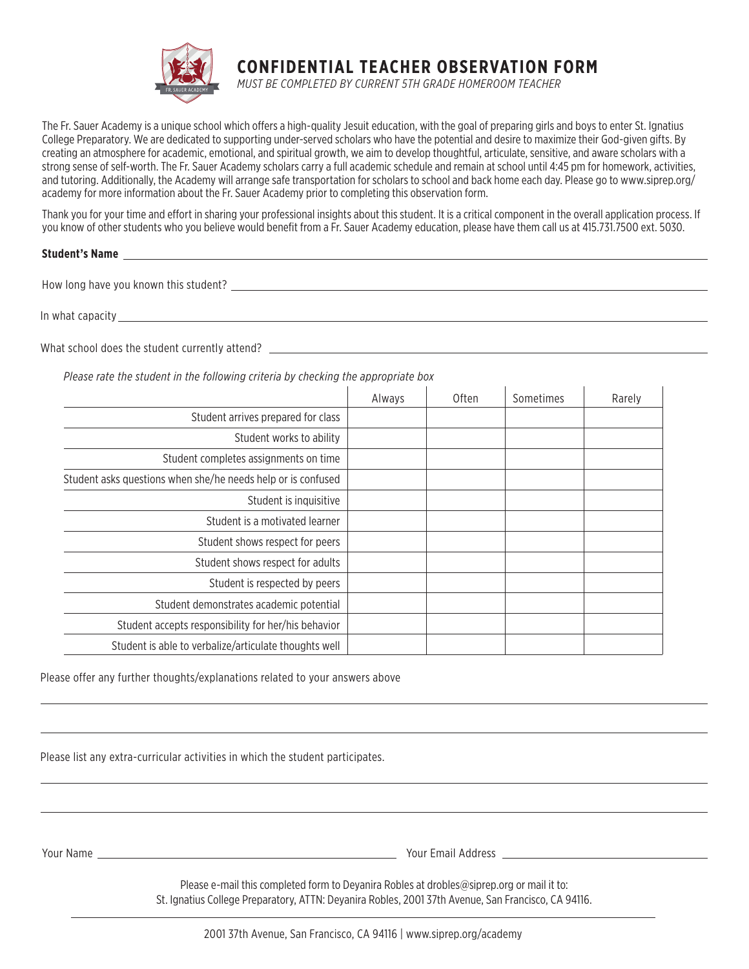

**CONFIDENTIAL TEACHER OBSERVATION FORM**

*MUST BE COMPLETED BY CURRENT 5TH GRADE HOMEROOM TEACHER*

The Fr. Sauer Academy is a unique school which offers a high-quality Jesuit education, with the goal of preparing girls and boys to enter St. Ignatius College Preparatory. We are dedicated to supporting under-served scholars who have the potential and desire to maximize their God-given gifts. By creating an atmosphere for academic, emotional, and spiritual growth, we aim to develop thoughtful, articulate, sensitive, and aware scholars with a strong sense of self-worth. The Fr. Sauer Academy scholars carry a full academic schedule and remain at school until 4:45 pm for homework, activities, and tutoring. Additionally, the Academy will arrange safe transportation for scholars to school and back home each day. Please go to www.siprep.org/ academy for more information about the Fr. Sauer Academy prior to completing this observation form.

Thank you for your time and effort in sharing your professional insights about this student. It is a critical component in the overall application process. If you know of other students who you believe would benefit from a Fr. Sauer Academy education, please have them call us at 415.731.7500 ext. 5030.

#### **Student's Name**

How long have you known this student?

In what capacity with the second state of the second state  $\mathbf{I}$  is the second state of the second state  $\mathbf{I}$ 

What school does the student currently attend? The state of the state of the state of the state of the student currently attend?

*Please rate the student in the following criteria by checking the appropriate box*

|                                                              | Always | <b>Often</b> | Sometimes | Rarely |
|--------------------------------------------------------------|--------|--------------|-----------|--------|
| Student arrives prepared for class                           |        |              |           |        |
| Student works to ability                                     |        |              |           |        |
| Student completes assignments on time                        |        |              |           |        |
| Student asks questions when she/he needs help or is confused |        |              |           |        |
| Student is inquisitive                                       |        |              |           |        |
| Student is a motivated learner                               |        |              |           |        |
| Student shows respect for peers                              |        |              |           |        |
| Student shows respect for adults                             |        |              |           |        |
| Student is respected by peers                                |        |              |           |        |
| Student demonstrates academic potential                      |        |              |           |        |
| Student accepts responsibility for her/his behavior          |        |              |           |        |
| Student is able to verbalize/articulate thoughts well        |        |              |           |        |

Please offer any further thoughts/explanations related to your answers above

Please list any extra-curricular activities in which the student participates.

Your Name Your Email Address

Please e-mail this completed form to Devanira Robles at drobles@siprep.org or mail it to: St. Ignatius College Preparatory, ATTN: Deyanira Robles, 2001 37th Avenue, San Francisco, CA 94116.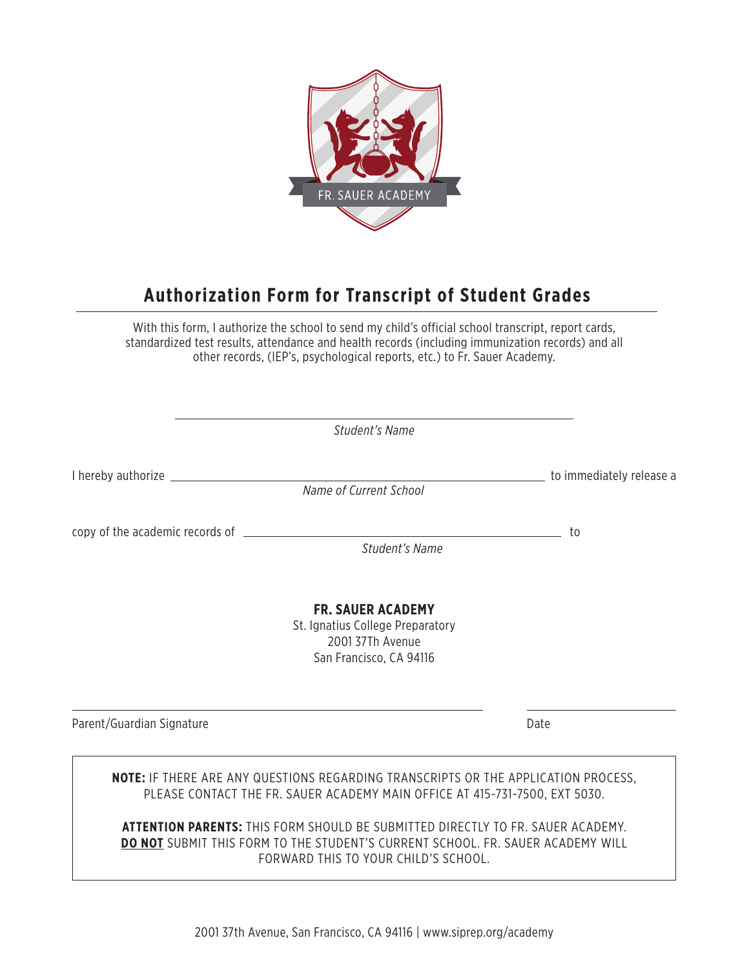

## **Authorization Form for Transcript of Student Grades**

With this form, I authorize the school to send my child's official school transcript, report cards, standardized test results, attendance and health records (including immunization records) and all other records, (IEP's, psychological reports, etc.) to Fr. Sauer Academy.

|                                   | Student's Name                                                                                                                                                    |                          |
|-----------------------------------|-------------------------------------------------------------------------------------------------------------------------------------------------------------------|--------------------------|
| I hereby authorize ______________ | Name of Current School                                                                                                                                            | to immediately release a |
|                                   | Student's Name                                                                                                                                                    | to                       |
|                                   | <b>FR. SAUER ACADEMY</b><br>St. Ignatius College Preparatory<br>2001 37Th Avenue<br>San Francisco, CA 94116                                                       |                          |
| Parent/Guardian Signature         |                                                                                                                                                                   | Date                     |
|                                   | NOTE: IF THERE ARE ANY QUESTIONS REGARDING TRANSCRIPTS OR THE APPLICATION PROCESS,<br>PLEASE CONTACT THE FR. SAUER ACADEMY MAIN OFFICE AT 415-731-7500, EXT 5030. |                          |

**ATTENTION PARENTS:** THIS FORM SHOULD BE SUBMITTED DIRECTLY TO FR. SAUER ACADEMY. **DO NOT** SUBMIT THIS FORM TO THE STUDENT'S CURRENT SCHOOL. FR. SAUER ACADEMY WILL FORWARD THIS TO YOUR CHILD'S SCHOOL.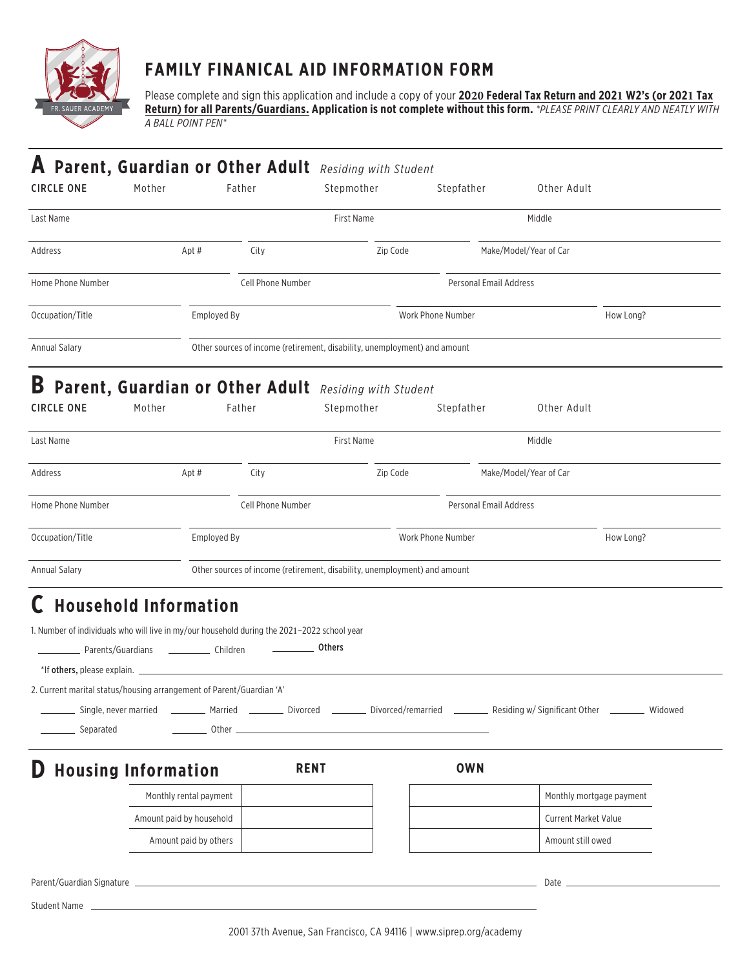

### **FAMILY FINANICAL AID INFORMATION FORM**

*A BALL POINT PEN\** Please complete and sign this application and include a copy of your **2020 Federal Tax Return and 2021 W2's (or 2021 Tax Return) for all Parents/Guardians. Application is not complete without this form.** *\*PLEASE PRINT CLEARLY AND NEATLY WITH*

| Parent, Guardian or Other Adult Residing with Student<br>A<br><b>CIRCLE ONE</b><br>Mother                                                                                                                                                                                       |                          | Father            | Stepmother                                                                | Stepfather        | Other Adult                                                                                                                |           |
|---------------------------------------------------------------------------------------------------------------------------------------------------------------------------------------------------------------------------------------------------------------------------------|--------------------------|-------------------|---------------------------------------------------------------------------|-------------------|----------------------------------------------------------------------------------------------------------------------------|-----------|
| Last Name                                                                                                                                                                                                                                                                       |                          |                   | First Name                                                                |                   | Middle                                                                                                                     |           |
| Address                                                                                                                                                                                                                                                                         | Apt#                     | City              | Zip Code                                                                  |                   | Make/Model/Year of Car                                                                                                     |           |
| Home Phone Number                                                                                                                                                                                                                                                               |                          | Cell Phone Number |                                                                           |                   | <b>Personal Email Address</b>                                                                                              |           |
| Occupation/Title                                                                                                                                                                                                                                                                | Employed By              |                   |                                                                           | Work Phone Number |                                                                                                                            | How Long? |
| <b>Annual Salary</b>                                                                                                                                                                                                                                                            |                          |                   | Other sources of income (retirement, disability, unemployment) and amount |                   |                                                                                                                            |           |
| B<br>Parent, Guardian or Other Adult Residing with Student<br><b>CIRCLE ONE</b><br>Mother                                                                                                                                                                                       |                          | Father            | Stepmother                                                                | Stepfather        | Other Adult                                                                                                                |           |
| Last Name                                                                                                                                                                                                                                                                       |                          |                   | First Name                                                                |                   | Middle                                                                                                                     |           |
| Address                                                                                                                                                                                                                                                                         | Apt#                     | City              | Zip Code                                                                  |                   | Make/Model/Year of Car                                                                                                     |           |
| Home Phone Number                                                                                                                                                                                                                                                               |                          | Cell Phone Number |                                                                           |                   | Personal Email Address                                                                                                     |           |
| Occupation/Title                                                                                                                                                                                                                                                                | Employed By              |                   |                                                                           | Work Phone Number |                                                                                                                            | How Long? |
| <b>Annual Salary</b>                                                                                                                                                                                                                                                            |                          |                   | Other sources of income (retirement, disability, unemployment) and amount |                   |                                                                                                                            |           |
| <b>Household Information</b><br>Ċ<br>1. Number of individuals who will live in my/our household during the 2021-2022 school year<br>*If others, please explain. _<br>2. Current marital status/housing arrangement of Parent/Guardian 'A'<br>Single, never married<br>Separated | Other _                  |                   | Others                                                                    |                   | Married __________ Divorced ____________ Divorced/remarried ____________ Residing w/ Significant Other ___________ Widowed |           |
| <b>Housing Information</b>                                                                                                                                                                                                                                                      |                          |                   | <b>RENT</b>                                                               | <b>OWN</b>        |                                                                                                                            |           |
|                                                                                                                                                                                                                                                                                 | Monthly rental payment   |                   |                                                                           |                   | Monthly mortgage payment                                                                                                   |           |
|                                                                                                                                                                                                                                                                                 | Amount paid by household |                   |                                                                           |                   | <b>Current Market Value</b>                                                                                                |           |
|                                                                                                                                                                                                                                                                                 | Amount paid by others    |                   |                                                                           |                   | Amount still owed                                                                                                          |           |
|                                                                                                                                                                                                                                                                                 |                          |                   |                                                                           |                   | Date _                                                                                                                     |           |
| Student Name                                                                                                                                                                                                                                                                    |                          |                   |                                                                           |                   |                                                                                                                            |           |